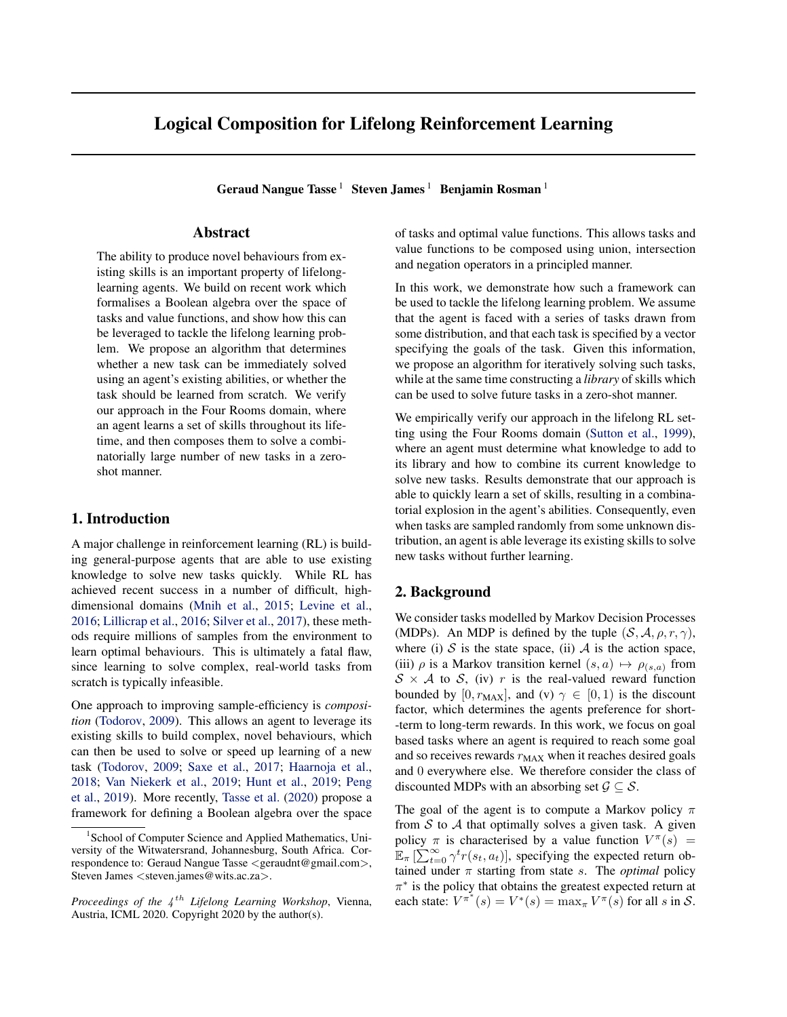# Logical Composition for Lifelong Reinforcement Learning

Geraud Nangue Tasse<sup>1</sup> Steven James<sup>1</sup> Benjamin Rosman<sup>1</sup>

### Abstract

The ability to produce novel behaviours from existing skills is an important property of lifelonglearning agents. We build on recent work which formalises a Boolean algebra over the space of tasks and value functions, and show how this can be leveraged to tackle the lifelong learning problem. We propose an algorithm that determines whether a new task can be immediately solved using an agent's existing abilities, or whether the task should be learned from scratch. We verify our approach in the Four Rooms domain, where an agent learns a set of skills throughout its lifetime, and then composes them to solve a combinatorially large number of new tasks in a zeroshot manner.

## 1. Introduction

A major challenge in reinforcement learning (RL) is building general-purpose agents that are able to use existing knowledge to solve new tasks quickly. While RL has achieved recent success in a number of difficult, highdimensional domains [\(Mnih et al.,](#page-5-0) [2015;](#page-5-0) [Levine et al.,](#page-5-0) [2016;](#page-5-0) [Lillicrap et al.,](#page-5-0) [2016;](#page-5-0) [Silver et al.,](#page-5-0) [2017\)](#page-5-0), these methods require millions of samples from the environment to learn optimal behaviours. This is ultimately a fatal flaw, since learning to solve complex, real-world tasks from scratch is typically infeasible.

One approach to improving sample-efficiency is *composition* [\(Todorov,](#page-5-0) [2009\)](#page-5-0). This allows an agent to leverage its existing skills to build complex, novel behaviours, which can then be used to solve or speed up learning of a new task [\(Todorov,](#page-5-0) [2009;](#page-5-0) [Saxe et al.,](#page-5-0) [2017;](#page-5-0) [Haarnoja et al.,](#page-5-0) [2018;](#page-5-0) [Van Niekerk et al.,](#page-5-0) [2019;](#page-5-0) [Hunt et al.,](#page-5-0) [2019;](#page-5-0) [Peng](#page-5-0) [et al.,](#page-5-0) [2019\)](#page-5-0). More recently, [Tasse et al.](#page-5-0) [\(2020\)](#page-5-0) propose a framework for defining a Boolean algebra over the space of tasks and optimal value functions. This allows tasks and value functions to be composed using union, intersection and negation operators in a principled manner.

In this work, we demonstrate how such a framework can be used to tackle the lifelong learning problem. We assume that the agent is faced with a series of tasks drawn from some distribution, and that each task is specified by a vector specifying the goals of the task. Given this information, we propose an algorithm for iteratively solving such tasks, while at the same time constructing a *library* of skills which can be used to solve future tasks in a zero-shot manner.

We empirically verify our approach in the lifelong RL setting using the Four Rooms domain [\(Sutton et al.,](#page-5-0) [1999\)](#page-5-0), where an agent must determine what knowledge to add to its library and how to combine its current knowledge to solve new tasks. Results demonstrate that our approach is able to quickly learn a set of skills, resulting in a combinatorial explosion in the agent's abilities. Consequently, even when tasks are sampled randomly from some unknown distribution, an agent is able leverage its existing skills to solve new tasks without further learning.

## 2. Background

We consider tasks modelled by Markov Decision Processes (MDPs). An MDP is defined by the tuple  $(S, A, \rho, r, \gamma)$ , where (i)  $S$  is the state space, (ii)  $A$  is the action space, (iii)  $\rho$  is a Markov transition kernel  $(s, a) \mapsto \rho_{(s,a)}$  from  $S \times A$  to S, (iv) r is the real-valued reward function bounded by [0,  $r_{MAX}$ ], and (v)  $\gamma \in [0, 1)$  is the discount factor, which determines the agents preference for short- -term to long-term rewards. In this work, we focus on goal based tasks where an agent is required to reach some goal and so receives rewards  $r_{MAX}$  when it reaches desired goals and 0 everywhere else. We therefore consider the class of discounted MDPs with an absorbing set  $\mathcal{G} \subset \mathcal{S}$ .

The goal of the agent is to compute a Markov policy  $\pi$ from  $S$  to  $A$  that optimally solves a given task. A given policy  $\pi$  is characterised by a value function  $V^{\pi}(s)$  =  $\mathbb{E}_{\pi}$   $[\sum_{t=0}^{\infty} \gamma^t r(s_t, a_t)]$ , specifying the expected return obtained under  $\pi$  starting from state s. The *optimal* policy  $\pi^*$  is the policy that obtains the greatest expected return at each state:  $V^{\pi^*}(s) = V^*(s) = \max_{\pi} V^{\pi}(s)$  for all s in S.

<sup>&</sup>lt;sup>1</sup> School of Computer Science and Applied Mathematics, University of the Witwatersrand, Johannesburg, South Africa. Correspondence to: Geraud Nangue Tasse <geraudnt@gmail.com>, Steven James <steven.james@wits.ac.za>.

Proceedings of the 4<sup>th</sup> Lifelong Learning Workshop, Vienna, Austria, ICML 2020. Copyright 2020 by the author(s).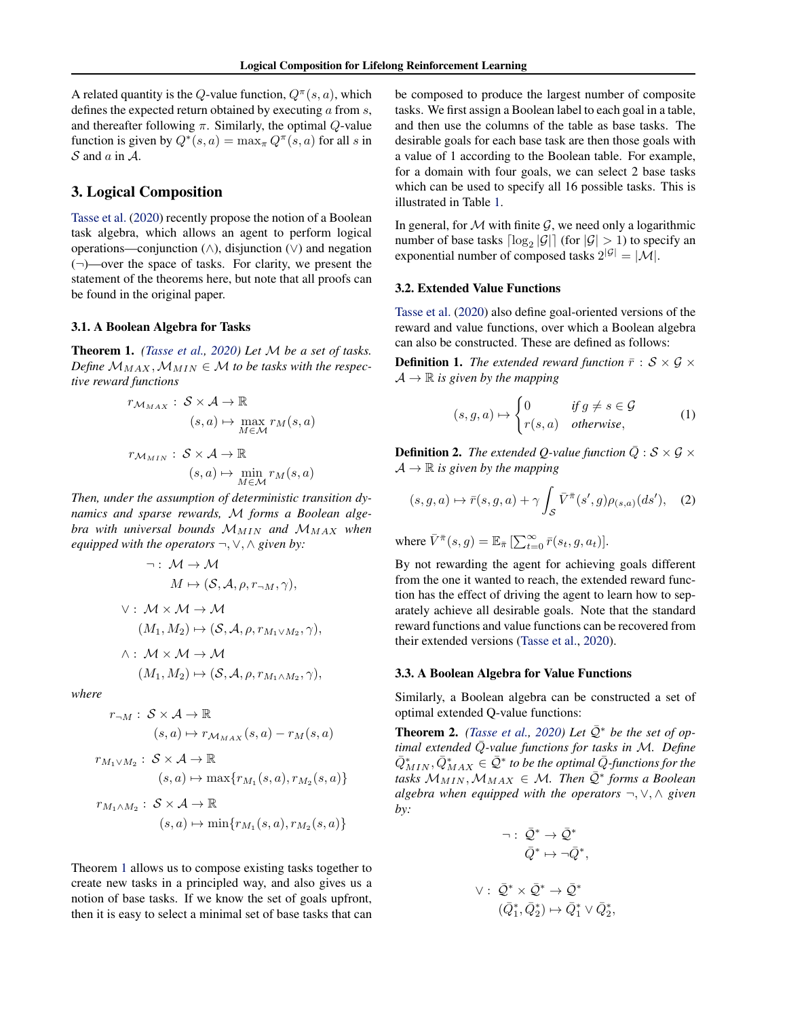<span id="page-1-0"></span>A related quantity is the Q-value function,  $Q^{\pi}(s, a)$ , which defines the expected return obtained by executing  $\alpha$  from  $s$ , and thereafter following  $\pi$ . Similarly, the optimal  $Q$ -value function is given by  $Q^*(s, a) = \max_{\pi} Q^{\pi}(s, a)$  for all s in  $S$  and  $\alpha$  in  $A$ .

## 3. Logical Composition

[Tasse et al.](#page-5-0) [\(2020\)](#page-5-0) recently propose the notion of a Boolean task algebra, which allows an agent to perform logical operations—conjunction (∧), disjunction (∨) and negation  $(\neg)$ —over the space of tasks. For clarity, we present the statement of the theorems here, but note that all proofs can be found in the original paper.

#### 3.1. A Boolean Algebra for Tasks

Theorem 1. *[\(Tasse et al.,](#page-5-0) [2020\)](#page-5-0) Let* M *be a set of tasks. Define*  $M_{MAX}$ ,  $M_{MIN} \in M$  to be tasks with the respec*tive reward functions*

$$
r_{\mathcal{M}_{MAX}} : \mathcal{S} \times \mathcal{A} \to \mathbb{R}
$$
  
\n
$$
(s, a) \mapsto \max_{M \in \mathcal{M}} r_M(s, a)
$$
  
\n
$$
r_{\mathcal{M}_{MIN}} : \mathcal{S} \times \mathcal{A} \to \mathbb{R}
$$
  
\n
$$
(s, a) \mapsto \min_{M \in \mathcal{M}} r_M(s, a)
$$

*Then, under the assumption of deterministic transition dynamics and sparse rewards,* M *forms a Boolean algebra with universal bounds*  $M_{MIN}$  *and*  $M_{MAX}$  *when equipped with the operators* ¬, ∨, ∧ *given by:*

$$
\neg: \mathcal{M} \to \mathcal{M}
$$
  
\n
$$
M \mapsto (\mathcal{S}, \mathcal{A}, \rho, r_{\neg M}, \gamma),
$$
  
\n
$$
\lor: \mathcal{M} \times \mathcal{M} \to \mathcal{M}
$$
  
\n
$$
(M_1, M_2) \mapsto (\mathcal{S}, \mathcal{A}, \rho, r_{M_1 \vee M_2}, \gamma),
$$
  
\n
$$
\land: \mathcal{M} \times \mathcal{M} \to \mathcal{M}
$$

$$
(M_1, M_2) \mapsto (\mathcal{S}, \mathcal{A}, \rho, r_{M_1 \wedge M_2}, \gamma),
$$

*where*

$$
r_{\neg M}: S \times A \to \mathbb{R}
$$
  

$$
(s, a) \mapsto r_{\mathcal{M}_{MAX}}(s, a) - r_{M}(s, a)
$$

$$
r_{M_1 \vee M_2}: S \times A \to \mathbb{R}
$$
  
\n
$$
(s, a) \mapsto \max\{r_{M_1}(s, a), r_{M_2}(s, a)\}
$$
  
\n
$$
r_{M_1 \wedge M_2}: S \times A \to \mathbb{R}
$$
  
\n
$$
(s, a) \mapsto \min\{r_{M_1}(s, a), r_{M_2}(s, a)\}
$$

Theorem 1 allows us to compose existing tasks together to create new tasks in a principled way, and also gives us a notion of base tasks. If we know the set of goals upfront, then it is easy to select a minimal set of base tasks that can be composed to produce the largest number of composite tasks. We first assign a Boolean label to each goal in a table, and then use the columns of the table as base tasks. The desirable goals for each base task are then those goals with a value of 1 according to the Boolean table. For example, for a domain with four goals, we can select 2 base tasks which can be used to specify all 16 possible tasks. This is illustrated in Table [1.](#page-2-0)

In general, for  $M$  with finite  $G$ , we need only a logarithmic number of base tasks  $\lceil \log_2 |\mathcal{G}| \rceil$  (for  $|\mathcal{G}| > 1$ ) to specify an exponential number of composed tasks  $2^{|\mathcal{G}|} = |\mathcal{M}|$ .

#### 3.2. Extended Value Functions

[Tasse et al.](#page-5-0) [\(2020\)](#page-5-0) also define goal-oriented versions of the reward and value functions, over which a Boolean algebra can also be constructed. These are defined as follows:

**Definition 1.** *The extended reward function*  $\bar{r}: \mathcal{S} \times \mathcal{G} \times$  $\mathcal{A} \to \mathbb{R}$  *is given by the mapping* 

$$
(s, g, a) \mapsto \begin{cases} 0 & \text{if } g \neq s \in \mathcal{G} \\ r(s, a) & \text{otherwise,} \end{cases} \tag{1}
$$

**Definition 2.** *The extended Q-value function*  $\overline{Q}$  :  $S \times G \times$  $\mathcal{A} \to \mathbb{R}$  *is given by the mapping* 

$$
(s,g,a)\mapsto \bar{r}(s,g,a)+\gamma\int_{\mathcal{S}}\bar{V}^{\bar{\pi}}(s',g)\rho_{(s,a)}(ds'),\quad (2)
$$

where  $\bar{V}^{\bar{\pi}}(s,g) = \mathbb{E}_{\bar{\pi}} \left[ \sum_{t=0}^{\infty} \bar{r}(s_t, g, a_t) \right]$ .

By not rewarding the agent for achieving goals different from the one it wanted to reach, the extended reward function has the effect of driving the agent to learn how to separately achieve all desirable goals. Note that the standard reward functions and value functions can be recovered from their extended versions [\(Tasse et al.,](#page-5-0) [2020\)](#page-5-0).

#### 3.3. A Boolean Algebra for Value Functions

Similarly, a Boolean algebra can be constructed a set of optimal extended Q-value functions:

**Theorem 2.** *[\(Tasse et al.,](#page-5-0) [2020\)](#page-5-0) Let*  $\overline{Q}^*$  *be the set of optimal extended*  $\overline{Q}$ -value functions for tasks in M. Define  $\bar{Q}^*_{MIN}, \bar{Q}^*_{MAX} \in \bar{\mathcal{Q}}^*$  to be the optimal  $\bar{Q}$ *-functions for the*  $\text{tasks } \mathcal{M}_{MIN}, \mathcal{M}_{MAX} \in \mathcal{M}$ . Then  $\overline{Q}^*$  forms a Boolean *algebra when equipped with the operators* ¬, ∨, ∧ *given by:*

$$
\neg: \overline{Q}^* \to \overline{Q}^*
$$

$$
\overline{Q}^* \mapsto \neg \overline{Q}^*,
$$

$$
\vee: \overline{Q}^* \times \overline{Q}^* \to \overline{Q}^*
$$

$$
(\overline{Q}_1^*, \overline{Q}_2^*) \mapsto \overline{Q}_1^* \vee \overline{Q}_2^*,
$$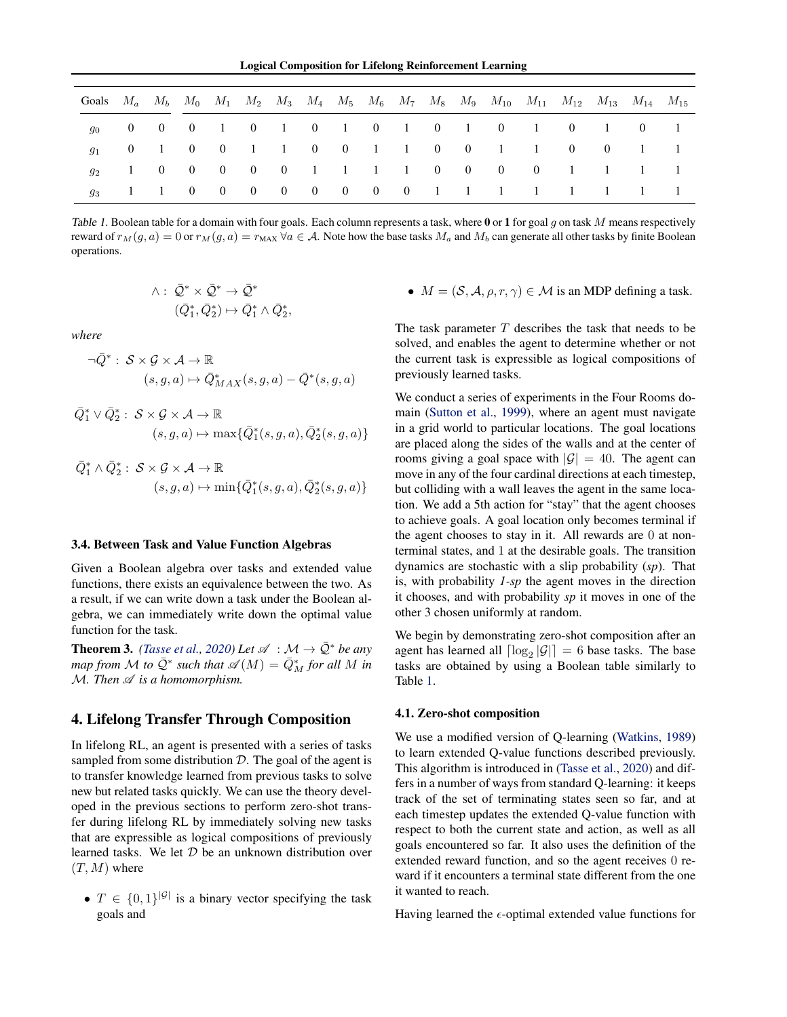Logical Composition for Lifelong Reinforcement Learning

<span id="page-2-0"></span>

| Goals $M_a$ $M_b$ $M_0$ $M_1$ $M_2$ $M_3$ $M_4$ $M_5$ $M_6$ $M_7$ $M_8$ $M_9$ $M_{10}$ $M_{11}$ $M_{12}$ $M_{13}$ $M_{14}$ $M_{15}$ |  |  |  |  |  |  |  |                                     |  |  |
|-------------------------------------------------------------------------------------------------------------------------------------|--|--|--|--|--|--|--|-------------------------------------|--|--|
|                                                                                                                                     |  |  |  |  |  |  |  |                                     |  |  |
|                                                                                                                                     |  |  |  |  |  |  |  | 0 1 0 0 1 1 0 0 1 1 0 0 1 1 0 0 1 1 |  |  |
|                                                                                                                                     |  |  |  |  |  |  |  | 1 0 0 0 0 0 1 1 1 1 0 0 0 0 1 1 1 1 |  |  |
|                                                                                                                                     |  |  |  |  |  |  |  | 1 1 0 0 0 0 0 0 0 0 1 1 1 1 1 1 1 1 |  |  |

Table 1. Boolean table for a domain with four goals. Each column represents a task, where 0 or 1 for goal q on task M means respectively reward of  $r_M(g, a) = 0$  or  $r_M(g, a) = r_{MAX} \forall a \in A$ . Note how the base tasks  $M_a$  and  $M_b$  can generate all other tasks by finite Boolean operations.

$$
\begin{aligned} \wedge: \ \bar{\mathcal{Q}}^* \times \bar{\mathcal{Q}}^* &\rightarrow \bar{\mathcal{Q}}^* \\ (\bar{Q}_1^*, \bar{Q}_2^*) &\mapsto \bar{Q}_1^* \wedge \bar{Q}_2^* \end{aligned}
$$

,

*where*

$$
\neg \bar{Q}^* : S \times \mathcal{G} \times \mathcal{A} \to \mathbb{R}
$$
  

$$
(s, g, a) \mapsto \bar{Q}^*_{MAX}(s, g, a) - \bar{Q}^*(s, g, a)
$$

$$
\bar{Q}_1^* \vee \bar{Q}_2^* : S \times \mathcal{G} \times \mathcal{A} \to \mathbb{R}
$$
  

$$
(s, g, a) \mapsto \max{\{\bar{Q}_1^*(s, g, a), \bar{Q}_2^*(s, g, a)\}}
$$

$$
\begin{aligned} \bar{Q}_1^* \wedge \bar{Q}_2^* &: \ \mathcal{S} \times \mathcal{G} \times \mathcal{A} \to \mathbb{R} \\ (s, g, a) &\mapsto \min\{\bar{Q}_1^*(s, g, a), \bar{Q}_2^*(s, g, a)\} \end{aligned}
$$

#### 3.4. Between Task and Value Function Algebras

Given a Boolean algebra over tasks and extended value functions, there exists an equivalence between the two. As a result, if we can write down a task under the Boolean algebra, we can immediately write down the optimal value function for the task.

**Theorem 3.** *[\(Tasse et al.,](#page-5-0) [2020\)](#page-5-0) Let*  $\mathscr{A} : \mathcal{M} \to \overline{Q}^*$  *be any*  $m$ ap from M to  $\overline{Q}^*$  such that  $\mathscr{A}(M) = \overline{Q}_M^*$  for all M in  $M.$  Then  $\mathscr A$  *is a homomorphism.* 

# 4. Lifelong Transfer Through Composition

In lifelong RL, an agent is presented with a series of tasks sampled from some distribution  $D$ . The goal of the agent is to transfer knowledge learned from previous tasks to solve new but related tasks quickly. We can use the theory developed in the previous sections to perform zero-shot transfer during lifelong RL by immediately solving new tasks that are expressible as logical compositions of previously learned tasks. We let  $D$  be an unknown distribution over  $(T, M)$  where

•  $T \in \{0,1\}^{|\mathcal{G}|}$  is a binary vector specifying the task goals and

•  $M = (S, A, \rho, r, \gamma) \in \mathcal{M}$  is an MDP defining a task.

The task parameter  $T$  describes the task that needs to be solved, and enables the agent to determine whether or not the current task is expressible as logical compositions of previously learned tasks.

We conduct a series of experiments in the Four Rooms domain [\(Sutton et al.,](#page-5-0) [1999\)](#page-5-0), where an agent must navigate in a grid world to particular locations. The goal locations are placed along the sides of the walls and at the center of rooms giving a goal space with  $|\mathcal{G}| = 40$ . The agent can move in any of the four cardinal directions at each timestep, but colliding with a wall leaves the agent in the same location. We add a 5th action for "stay" that the agent chooses to achieve goals. A goal location only becomes terminal if the agent chooses to stay in it. All rewards are 0 at nonterminal states, and 1 at the desirable goals. The transition dynamics are stochastic with a slip probability (*sp*). That is, with probability *1-sp* the agent moves in the direction it chooses, and with probability *sp* it moves in one of the other 3 chosen uniformly at random.

We begin by demonstrating zero-shot composition after an agent has learned all  $\lceil \log_2 |\mathcal{G}| \rceil = 6$  base tasks. The base tasks are obtained by using a Boolean table similarly to Table 1.

### 4.1. Zero-shot composition

We use a modified version of Q-learning [\(Watkins,](#page-5-0) [1989\)](#page-5-0) to learn extended Q-value functions described previously. This algorithm is introduced in [\(Tasse et al.,](#page-5-0) [2020\)](#page-5-0) and differs in a number of ways from standard Q-learning: it keeps track of the set of terminating states seen so far, and at each timestep updates the extended Q-value function with respect to both the current state and action, as well as all goals encountered so far. It also uses the definition of the extended reward function, and so the agent receives 0 reward if it encounters a terminal state different from the one it wanted to reach.

Having learned the  $\epsilon$ -optimal extended value functions for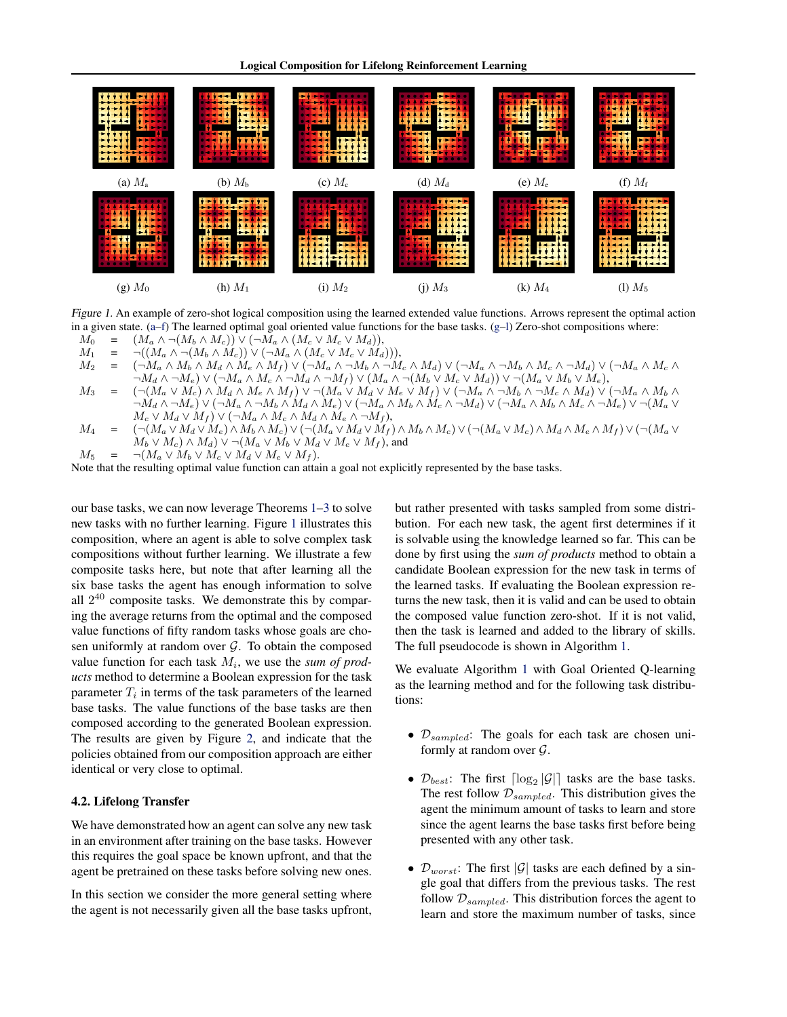Logical Composition for Lifelong Reinforcement Learning



Figure 1. An example of zero-shot logical composition using the learned extended value functions. Arrows represent the optimal action in a given state.  $(a-f)$  The learned optimal goal oriented value functions for the base tasks.  $(g-1)$  Zero-shot compositions where:

 $M_0 = (M_a \wedge \neg(M_b \wedge M_c)) \vee (\neg M_a \wedge (M_c \vee M_c \vee M_d)),$ 

 $M_1 = \neg((M_a \land \neg(M_b \land \dot{M}_c)) \lor (\neg M_a \land (M_c \lor M_c \lor \dot{M}_d)))$ <br>  $M_2 = (\neg M_a \land M_b \land M_d \land M_e \land M_f) \lor (\neg M_a \land \neg M_b \land \neg M_d$ 

- $(M_A \wedge M_B \wedge M_d \wedge M_e \wedge M_f) \vee (\neg M_a \wedge \neg M_b \wedge \neg M_c \wedge M_d) \vee (\neg M_a \wedge \neg M_b \wedge M_c \wedge \neg M_d) \vee (\neg M_a \wedge M_c \wedge \neg M_d)$  $\overline{\wedge}M_d \wedge \neg M_e) \vee (\neg M_a \wedge M_c \wedge \neg M_d \wedge \neg M_f) \vee (M_a \wedge \neg (M_b \vee M_c \vee M_d)) \vee \neg (M_a \vee M_b \vee M_e),$
- $M_3 = (\neg(M_a \vee M_c) \wedge M_d \wedge M_e \wedge M_f) \vee \neg(M_a \vee M_d \vee M_e \vee M_f) \vee (\neg M_a \wedge \neg M_b \wedge \neg M_c \wedge M_d) \vee (\neg M_a \wedge M_b \wedge M_f) \vee \neg M_a \vee M_f)$  $\bar{M}_d \wedge \neg M_e) \vee (\neg M_a \wedge \neg M_b \wedge M_d \wedge M_e) \vee (\neg M_a \wedge M_b \wedge M_c \wedge \neg M_d) \vee (\neg M_a \wedge M_b \wedge M_c \wedge \neg M_e) \vee \neg (M_a \vee \neg M_a \wedge M_e)$  $M_c \vee M_d \vee M_f) \vee (\neg M_a \wedge M_c \wedge M_d \wedge M_e \wedge \neg M_f),$
- $M_4 = (\neg(M_a \lor M_d \lor M_e) \land M_b \land M_c) \lor (\neg(M_a \lor M_d \lor M_f) \land M_b \land M_c) \lor (\neg(M_a \lor M_c) \land M_d \land M_e \land M_f) \lor (\neg(M_a \lor M_c) \land M_c \land M_f))$  $M_b \vee M_c$   $\wedge M_d$   $\vee \neg(M_a \vee M_b \vee M_d \vee M_e \vee M_f)$ , and
- $M_5 = \neg(M_a \vee M_b \vee M_c \vee M_d \vee M_e \vee M_f).$

Note that the resulting optimal value function can attain a goal not explicitly represented by the base tasks.

our base tasks, we can now leverage Theorems [1–](#page-1-0)[3](#page-2-0) to solve new tasks with no further learning. Figure 1 illustrates this composition, where an agent is able to solve complex task compositions without further learning. We illustrate a few composite tasks here, but note that after learning all the six base tasks the agent has enough information to solve all  $2^{40}$  composite tasks. We demonstrate this by comparing the average returns from the optimal and the composed value functions of fifty random tasks whose goals are chosen uniformly at random over  $G$ . To obtain the composed value function for each task  $M_i$ , we use the *sum of products* method to determine a Boolean expression for the task parameter  $T_i$  in terms of the task parameters of the learned base tasks. The value functions of the base tasks are then composed according to the generated Boolean expression. The results are given by Figure [2,](#page-4-0) and indicate that the policies obtained from our composition approach are either identical or very close to optimal.

### 4.2. Lifelong Transfer

We have demonstrated how an agent can solve any new task in an environment after training on the base tasks. However this requires the goal space be known upfront, and that the agent be pretrained on these tasks before solving new ones.

In this section we consider the more general setting where the agent is not necessarily given all the base tasks upfront, but rather presented with tasks sampled from some distribution. For each new task, the agent first determines if it is solvable using the knowledge learned so far. This can be done by first using the *sum of products* method to obtain a candidate Boolean expression for the new task in terms of the learned tasks. If evaluating the Boolean expression returns the new task, then it is valid and can be used to obtain the composed value function zero-shot. If it is not valid, then the task is learned and added to the library of skills. The full pseudocode is shown in Algorithm [1.](#page-4-0)

We evaluate Algorithm [1](#page-4-0) with Goal Oriented Q-learning as the learning method and for the following task distributions:

- $\mathcal{D}_{sampled}$ : The goals for each task are chosen uniformly at random over  $\mathcal{G}$ .
- $\mathcal{D}_{best}$ : The first  $\lceil \log_2 |\mathcal{G}| \rceil$  tasks are the base tasks. The rest follow  $\mathcal{D}_{sampled}$ . This distribution gives the agent the minimum amount of tasks to learn and store since the agent learns the base tasks first before being presented with any other task.
- $\mathcal{D}_{worst}$ : The first |G| tasks are each defined by a single goal that differs from the previous tasks. The rest follow  $\mathcal{D}_{sampled}$ . This distribution forces the agent to learn and store the maximum number of tasks, since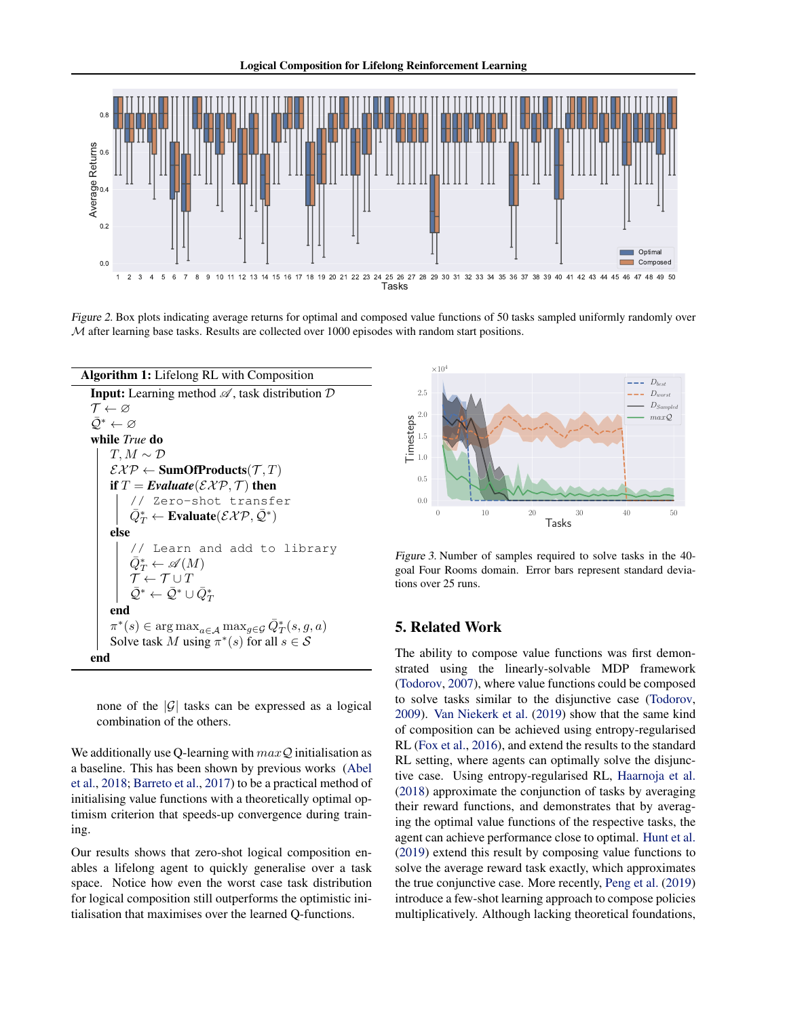<span id="page-4-0"></span>

Figure 2. Box plots indicating average returns for optimal and composed value functions of 50 tasks sampled uniformly randomly over  $M$  after learning base tasks. Results are collected over 1000 episodes with random start positions.



none of the  $|\mathcal{G}|$  tasks can be expressed as a logical combination of the others.

We additionally use Q-learning with  $maxQ$  initialisation as a baseline. This has been shown by previous works [\(Abel](#page-5-0) [et al.,](#page-5-0) [2018;](#page-5-0) [Barreto et al.,](#page-5-0) [2017\)](#page-5-0) to be a practical method of initialising value functions with a theoretically optimal optimism criterion that speeds-up convergence during training.

Our results shows that zero-shot logical composition enables a lifelong agent to quickly generalise over a task space. Notice how even the worst case task distribution for logical composition still outperforms the optimistic initialisation that maximises over the learned Q-functions.



Figure 3. Number of samples required to solve tasks in the 40 goal Four Rooms domain. Error bars represent standard deviations over 25 runs.

# 5. Related Work

The ability to compose value functions was first demonstrated using the linearly-solvable MDP framework [\(Todorov,](#page-5-0) [2007\)](#page-5-0), where value functions could be composed to solve tasks similar to the disjunctive case [\(Todorov,](#page-5-0) [2009\)](#page-5-0). [Van Niekerk et al.](#page-5-0) [\(2019\)](#page-5-0) show that the same kind of composition can be achieved using entropy-regularised RL [\(Fox et al.,](#page-5-0) [2016\)](#page-5-0), and extend the results to the standard RL setting, where agents can optimally solve the disjunctive case. Using entropy-regularised RL, [Haarnoja et al.](#page-5-0) [\(2018\)](#page-5-0) approximate the conjunction of tasks by averaging their reward functions, and demonstrates that by averaging the optimal value functions of the respective tasks, the agent can achieve performance close to optimal. [Hunt et al.](#page-5-0) [\(2019\)](#page-5-0) extend this result by composing value functions to solve the average reward task exactly, which approximates the true conjunctive case. More recently, [Peng et al.](#page-5-0) [\(2019\)](#page-5-0) introduce a few-shot learning approach to compose policies multiplicatively. Although lacking theoretical foundations,